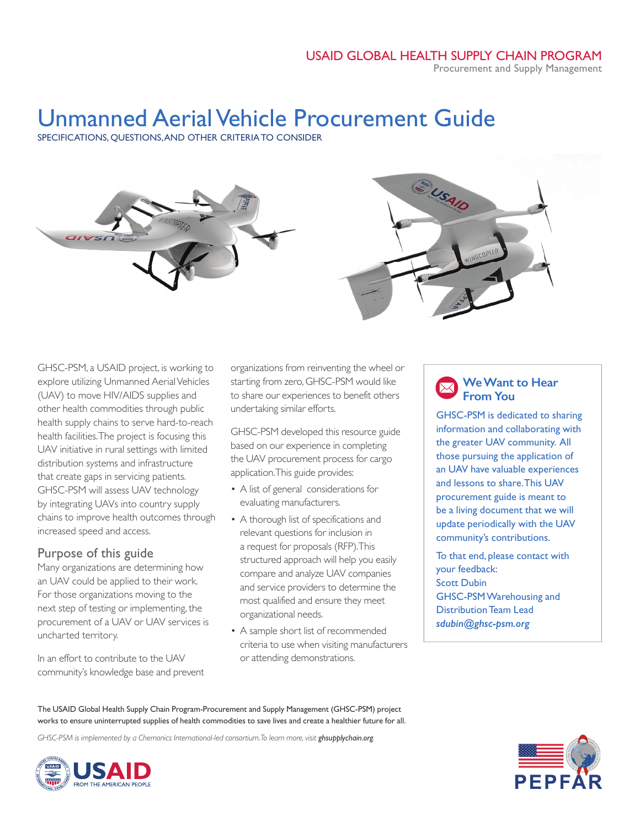# Unmanned Aerial Vehicle Procurement Guide

SPECIFICATIONS, QUESTIONS,AND OTHER CRITERIA TO CONSIDER





GHSC-PSM, a USAID project, is working to explore utilizing Unmanned Aerial Vehicles (UAV) to move HIV/AIDS supplies and other health commodities through public health supply chains to serve hard-to-reach health facilities.The project is focusing this UAV initiative in rural settings with limited distribution systems and infrastructure that create gaps in servicing patients. GHSC-PSM will assess UAV technology by integrating UAVs into country supply chains to improve health outcomes through increased speed and access.

#### Purpose of this guide

Many organizations are determining how an UAV could be applied to their work. For those organizations moving to the next step of testing or implementing, the procurement of a UAV or UAV services is uncharted territory.

In an effort to contribute to the UAV community's knowledge base and prevent organizations from reinventing the wheel or starting from zero, GHSC-PSM would like to share our experiences to benefit others undertaking similar efforts.

GHSC-PSM developed this resource guide based on our experience in completing the UAV procurement process for cargo application.This guide provides:

- A list of general considerations for evaluating manufacturers.
- a request for proposals (RFP).This • A thorough list of specifications and relevant questions for inclusion in structured approach will help you easily compare and analyze UAV companies and service providers to determine the most qualified and ensure they meet organizational needs.
- A sample short list of recommended criteria to use when visiting manufacturers or attending demonstrations.

## **We Want to Hear From You**

GHSC-PSM is dedicated to sharing information and collaborating with the greater UAV community. All those pursuing the application of an UAV have valuable experiences and lessons to share.This UAV procurement guide is meant to be a living document that we will update periodically with the UAV community's contributions.

To that end, please contact with your feedback: Scott Dubin GHSC-PSM Warehousing and Distribution Team Lead *[sdubin@ghsc-psm.org](mailto:sdubin@ghsc-psm.org)*

The USAID Global Health Supply Chain Program-Procurement and Supply Management (GHSC-PSM) project works to ensure uninterrupted supplies of health commodities to save lives and create a healthier future for all.

GHSC-PSM is implemented by a Chemonics International-led consortium. To learn more, visit *[ghsupplychain.org](https://ghsupplychain.org)*.



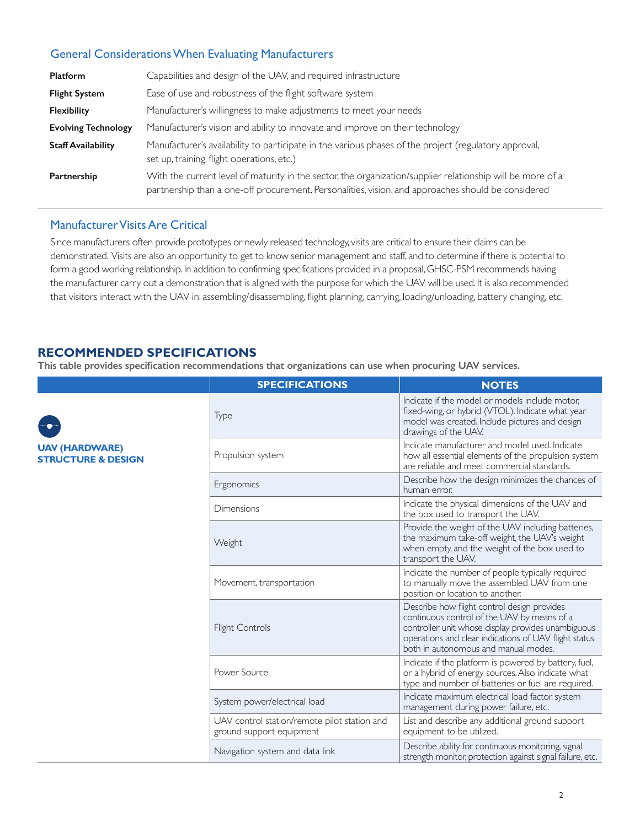### General Considerations When Evaluating Manufacturers

| <b>Platform</b>            | Capabilities and design of the UAV, and required infrastructure                                                                                                                                                  |
|----------------------------|------------------------------------------------------------------------------------------------------------------------------------------------------------------------------------------------------------------|
| <b>Flight System</b>       | Ease of use and robustness of the flight software system                                                                                                                                                         |
| <b>Flexibility</b>         | Manufacturer's willingness to make adjustments to meet your needs                                                                                                                                                |
| <b>Evolving Technology</b> | Manufacturer's vision and ability to innovate and improve on their technology                                                                                                                                    |
| <b>Staff Availability</b>  | Manufacturer's availability to participate in the various phases of the project (regulatory approval,<br>set up, training, flight operations, etc.)                                                              |
| Partnership                | With the current level of maturity in the sector, the organization/supplier relationship will be more of a<br>partnership than a one-off procurement. Personalities, vision, and approaches should be considered |

#### Manufacturer Visits Are Critical

 demonstrated. Visits are also an opportunity to get to know senior management and staff, and to determine if there is potential to Since manufacturers often provide prototypes or newly released technology, visits are critical to ensure their claims can be form a good working relationship. In addition to confirming specifications provided in a proposal, GHSC-PSM recommends having the manufacturer carry out a demonstration that is aligned with the purpose for which the UAV will be used. It is also recommended that visitors interact with the UAV in: assembling/disassembling, flight planning, carrying, loading/unloading, battery changing, etc.

#### **RECOMMENDED SPECIFICATIONS**

**This table provides specification recommendations that organizations can use when procuring UAV services.**

|                                                        | <b>SPECIFICATIONS</b>                                                    | <b>NOTES</b>                                                                                                                                                                                                                                      |
|--------------------------------------------------------|--------------------------------------------------------------------------|---------------------------------------------------------------------------------------------------------------------------------------------------------------------------------------------------------------------------------------------------|
|                                                        | Type                                                                     | Indicate if the model or models include motor.<br>fixed-wing, or hybrid (VTOL). Indicate what year<br>model was created. Include pictures and design<br>drawings of the UAV.                                                                      |
| <b>UAV (HARDWARE)</b><br><b>STRUCTURE &amp; DESIGN</b> | Propulsion system                                                        | Indicate manufacturer and model used. Indicate<br>how all essential elements of the propulsion system<br>are reliable and meet commercial standards.                                                                                              |
|                                                        | Ergonomics                                                               | Describe how the design minimizes the chances of<br>human error.                                                                                                                                                                                  |
|                                                        | Dimensions                                                               | Indicate the physical dimensions of the UAV and<br>the box used to transport the UAV.                                                                                                                                                             |
|                                                        | Weight                                                                   | Provide the weight of the UAV including batteries,<br>the maximum take-off weight, the UAV's weight<br>when empty, and the weight of the box used to<br>transport the UAV.                                                                        |
|                                                        | Movement, transportation                                                 | Indicate the number of people typically required<br>to manually move the assembled UAV from one<br>position or location to another.                                                                                                               |
|                                                        | Flight Controls                                                          | Describe how flight control design provides<br>continuous control of the UAV by means of a<br>controller unit whose display provides unambiguous<br>operations and clear indications of UAV flight status<br>both in autonomous and manual modes. |
|                                                        | Power Source                                                             | Indicate if the platform is powered by battery, fuel,<br>or a hybrid of energy sources. Also indicate what<br>type and number of batteries or fuel are required.                                                                                  |
|                                                        | System power/electrical load                                             | Indicate maximum electrical load factor, system<br>management during power failure, etc.                                                                                                                                                          |
|                                                        | UAV control station/remote pilot station and<br>ground support equipment | List and describe any additional ground support<br>equipment to be utilized.                                                                                                                                                                      |
|                                                        | Navigation system and data link                                          | Describe ability for continuous monitoring, signal<br>strength monitor, protection against signal failure, etc.                                                                                                                                   |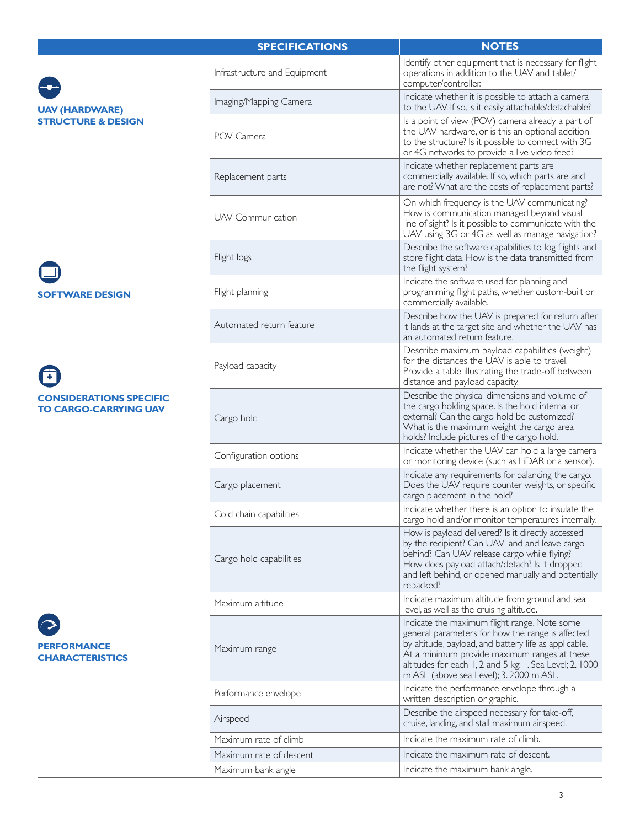|                                                                | <b>SPECIFICATIONS</b>        | <b>NOTES</b>                                                                                                                                                                                                                                                                                                    |
|----------------------------------------------------------------|------------------------------|-----------------------------------------------------------------------------------------------------------------------------------------------------------------------------------------------------------------------------------------------------------------------------------------------------------------|
|                                                                | Infrastructure and Equipment | Identify other equipment that is necessary for flight<br>operations in addition to the UAV and tablet/<br>computer/controller.                                                                                                                                                                                  |
| <b>UAV (HARDWARE)</b>                                          | Imaging/Mapping Camera       | Indicate whether it is possible to attach a camera<br>to the UAV. If so, is it easily attachable/detachable?                                                                                                                                                                                                    |
| <b>STRUCTURE &amp; DESIGN</b>                                  | POV Camera                   | Is a point of view (POV) camera already a part of<br>the UAV hardware, or is this an optional addition<br>to the structure? Is it possible to connect with 3G<br>or 4G networks to provide a live video feed?                                                                                                   |
|                                                                | Replacement parts            | Indicate whether replacement parts are<br>commercially available. If so, which parts are and<br>are not? What are the costs of replacement parts?                                                                                                                                                               |
|                                                                | <b>UAV Communication</b>     | On which frequency is the UAV communicating?<br>How is communication managed beyond visual<br>line of sight? Is it possible to communicate with the<br>UAV using 3G or 4G as well as manage navigation?                                                                                                         |
|                                                                | Flight logs                  | Describe the software capabilities to log flights and<br>store flight data. How is the data transmitted from<br>the flight system?                                                                                                                                                                              |
| <b>SOFTWARE DESIGN</b>                                         | Flight planning              | Indicate the software used for planning and<br>programming flight paths, whether custom-built or<br>commercially available.                                                                                                                                                                                     |
|                                                                | Automated return feature     | Describe how the UAV is prepared for return after<br>it lands at the target site and whether the UAV has<br>an automated return feature.                                                                                                                                                                        |
|                                                                | Payload capacity             | Describe maximum payload capabilities (weight)<br>for the distances the UAV is able to travel.<br>Provide a table illustrating the trade-off between<br>distance and payload capacity.                                                                                                                          |
| <b>CONSIDERATIONS SPECIFIC</b><br><b>TO CARGO-CARRYING UAV</b> | Cargo hold                   | Describe the physical dimensions and volume of<br>the cargo holding space. Is the hold internal or<br>external? Can the cargo hold be customized?<br>What is the maximum weight the cargo area<br>holds? Include pictures of the cargo hold.                                                                    |
|                                                                | Configuration options        | Indicate whether the UAV can hold a large camera<br>or monitoring device (such as LiDAR or a sensor).                                                                                                                                                                                                           |
|                                                                | Cargo placement              | Indicate any requirements for balancing the cargo.<br>Does the UAV require counter weights, or specific<br>cargo placement in the hold?                                                                                                                                                                         |
|                                                                | Cold chain capabilities      | Indicate whether there is an option to insulate the<br>cargo hold and/or monitor temperatures internally.                                                                                                                                                                                                       |
|                                                                | Cargo hold capabilities      | How is payload delivered? Is it directly accessed<br>by the recipient? Can UAV land and leave cargo<br>behind? Can UAV release cargo while flying?<br>How does payload attach/detach? Is it dropped<br>and left behind, or opened manually and potentially<br>repacked?                                         |
|                                                                | Maximum altitude             | Indicate maximum altitude from ground and sea<br>level, as well as the cruising altitude.                                                                                                                                                                                                                       |
| <b>PERFORMANCE</b><br><b>CHARACTERISTICS</b>                   | Maximum range                | Indicate the maximum flight range. Note some<br>general parameters for how the range is affected<br>by altitude, payload, and battery life as applicable.<br>At a minimum provide maximum ranges at these<br>altitudes for each 1, 2 and 5 kg: 1. Sea Level; 2. 1000<br>m ASL (above sea Level); 3. 2000 m ASL. |
|                                                                | Performance envelope         | Indicate the performance envelope through a<br>written description or graphic.                                                                                                                                                                                                                                  |
|                                                                | Airspeed                     | Describe the airspeed necessary for take-off,<br>cruise, landing, and stall maximum airspeed.                                                                                                                                                                                                                   |
|                                                                | Maximum rate of climb        | Indicate the maximum rate of climb.                                                                                                                                                                                                                                                                             |
|                                                                | Maximum rate of descent      | Indicate the maximum rate of descent.                                                                                                                                                                                                                                                                           |
|                                                                | Maximum bank angle           | Indicate the maximum bank angle.                                                                                                                                                                                                                                                                                |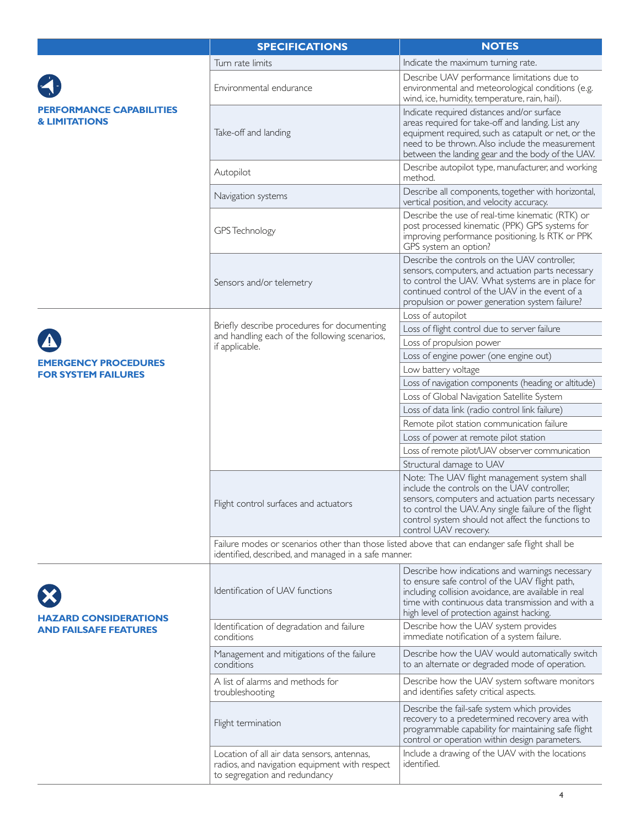|                                                    | <b>SPECIFICATIONS</b>                                                                                                                                   | <b>NOTES</b>                                                                                                                                                                                                                                                                         |
|----------------------------------------------------|---------------------------------------------------------------------------------------------------------------------------------------------------------|--------------------------------------------------------------------------------------------------------------------------------------------------------------------------------------------------------------------------------------------------------------------------------------|
|                                                    | Turn rate limits                                                                                                                                        | Indicate the maximum turning rate.                                                                                                                                                                                                                                                   |
|                                                    | Environmental endurance                                                                                                                                 | Describe UAV performance limitations due to<br>environmental and meteorological conditions (e.g.<br>wind, ice, humidity, temperature, rain, hail).                                                                                                                                   |
| PERFORMANCE CAPABILITIES<br>& LIMITATIONS          | Take-off and landing                                                                                                                                    | Indicate required distances and/or surface<br>areas required for take-off and landing. List any<br>equipment required, such as catapult or net, or the<br>need to be thrown. Also include the measurement<br>between the landing gear and the body of the UAV.                       |
|                                                    | Autopilot                                                                                                                                               | Describe autopilot type, manufacturer, and working<br>method.                                                                                                                                                                                                                        |
|                                                    | Navigation systems                                                                                                                                      | Describe all components, together with horizontal,<br>vertical position, and velocity accuracy.                                                                                                                                                                                      |
|                                                    | GPS Technology                                                                                                                                          | Describe the use of real-time kinematic (RTK) or<br>post processed kinematic (PPK) GPS systems for<br>improving performance positioning. Is RTK or PPK<br>GPS system an option?                                                                                                      |
|                                                    | Sensors and/or telemetry                                                                                                                                | Describe the controls on the UAV controller,<br>sensors, computers, and actuation parts necessary<br>to control the UAV. What systems are in place for<br>continued control of the UAV in the event of a<br>propulsion or power generation system failure?                           |
|                                                    |                                                                                                                                                         | Loss of autopilot                                                                                                                                                                                                                                                                    |
|                                                    | Briefly describe procedures for documenting                                                                                                             | Loss of flight control due to server failure                                                                                                                                                                                                                                         |
|                                                    | and handling each of the following scenarios,<br>if applicable.                                                                                         | Loss of propulsion power                                                                                                                                                                                                                                                             |
|                                                    |                                                                                                                                                         | Loss of engine power (one engine out)                                                                                                                                                                                                                                                |
| EMERGENCY PROCEDURES<br><b>FOR SYSTEM FAILURES</b> |                                                                                                                                                         | Low battery voltage                                                                                                                                                                                                                                                                  |
|                                                    |                                                                                                                                                         | Loss of navigation components (heading or altitude)                                                                                                                                                                                                                                  |
|                                                    |                                                                                                                                                         | Loss of Global Navigation Satellite System                                                                                                                                                                                                                                           |
|                                                    |                                                                                                                                                         | Loss of data link (radio control link failure)                                                                                                                                                                                                                                       |
|                                                    |                                                                                                                                                         | Remote pilot station communication failure                                                                                                                                                                                                                                           |
|                                                    |                                                                                                                                                         | Loss of power at remote pilot station                                                                                                                                                                                                                                                |
|                                                    |                                                                                                                                                         | Loss of remote pilot/UAV observer communication                                                                                                                                                                                                                                      |
|                                                    |                                                                                                                                                         | Structural damage to UAV                                                                                                                                                                                                                                                             |
|                                                    | Flight control surfaces and actuators                                                                                                                   | Note: The UAV flight management system shall<br>include the controls on the UAV controller,<br>sensors, computers and actuation parts necessary<br>to control the UAV Any single failure of the flight<br>control system should not affect the functions to<br>control UAV recovery. |
|                                                    | Failure modes or scenarios other than those listed above that can endanger safe flight shall be<br>identified, described, and managed in a safe manner. |                                                                                                                                                                                                                                                                                      |
| HAZARD CONSIDERATIONS                              | Identification of UAV functions                                                                                                                         | Describe how indications and warnings necessary<br>to ensure safe control of the UAV flight path,<br>including collision avoidance, are available in real<br>time with continuous data transmission and with a<br>high level of protection against hacking.                          |
| AND FAILSAFE FEATURES                              | Identification of degradation and failure<br>conditions                                                                                                 | Describe how the UAV system provides<br>immediate notification of a system failure.                                                                                                                                                                                                  |
|                                                    | Management and mitigations of the failure<br>conditions                                                                                                 | Describe how the UAV would automatically switch<br>to an alternate or degraded mode of operation.                                                                                                                                                                                    |
|                                                    | A list of alarms and methods for<br>troubleshooting                                                                                                     | Describe how the UAV system software monitors<br>and identifies safety critical aspects.                                                                                                                                                                                             |
|                                                    | Flight termination                                                                                                                                      | Describe the fail-safe system which provides<br>recovery to a predetermined recovery area with<br>programmable capability for maintaining safe flight<br>control or operation within design parameters.                                                                              |
|                                                    | Location of all air data sensors, antennas,<br>radios, and navigation equipment with respect<br>to segregation and redundancy                           | Include a drawing of the UAV with the locations<br>identified.                                                                                                                                                                                                                       |